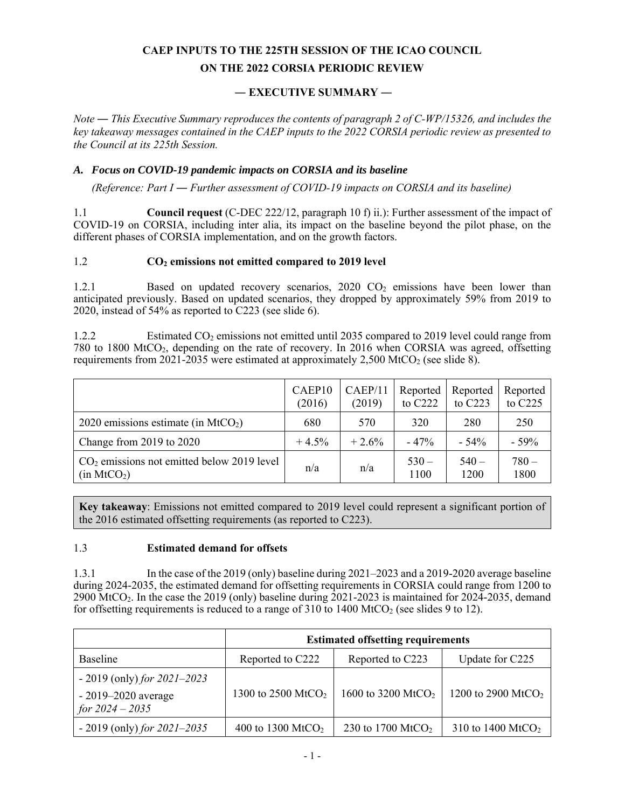# **CAEP INPUTS TO THE 225TH SESSION OF THE ICAO COUNCIL ON THE 2022 CORSIA PERIODIC REVIEW**

# **― EXECUTIVE SUMMARY ―**

*Note ― This Executive Summary reproduces the contents of paragraph 2 of C-WP/15326, and includes the key takeaway messages contained in the CAEP inputs to the 2022 CORSIA periodic review as presented to the Council at its 225th Session.* 

#### *A. Focus on COVID-19 pandemic impacts on CORSIA and its baseline*

*(Reference: Part I ― Further assessment of COVID-19 impacts on CORSIA and its baseline)* 

1.1 **Council request** (C-DEC 222/12, paragraph 10 f) ii.): Further assessment of the impact of COVID-19 on CORSIA, including inter alia, its impact on the baseline beyond the pilot phase, on the different phases of CORSIA implementation, and on the growth factors.

## 1.2 **CO2 emissions not emitted compared to 2019 level**

1.2.1 Based on updated recovery scenarios, 2020 CO<sub>2</sub> emissions have been lower than anticipated previously. Based on updated scenarios, they dropped by approximately 59% from 2019 to 2020, instead of 54% as reported to C223 (see slide 6).

1.2.2 Estimated CO<sub>2</sub> emissions not emitted until 2035 compared to 2019 level could range from 780 to 1800 MtCO2, depending on the rate of recovery. In 2016 when CORSIA was agreed, offsetting requirements from 2021-2035 were estimated at approximately 2,500 MtCO<sub>2</sub> (see slide 8).

|                                                                         | CAEP10<br>(2016) | CAEP/11<br>(2019) | Reported<br>to C222 | Reported<br>to $C223$ | Reported<br>to C225 |
|-------------------------------------------------------------------------|------------------|-------------------|---------------------|-----------------------|---------------------|
| 2020 emissions estimate (in $MtCO2$ )                                   | 680              | 570               | 320                 | 280                   | 250                 |
| Change from 2019 to 2020                                                | $+4.5%$          | $+2.6%$           | $-47%$              | $-54\%$               | $-59%$              |
| $CO2$ emissions not emitted below 2019 level<br>(in MtCO <sub>2</sub> ) | n/a              | n/a               | $530 -$<br>1100     | $540 -$<br>1200       | $780 -$<br>1800     |

**Key takeaway**: Emissions not emitted compared to 2019 level could represent a significant portion of the 2016 estimated offsetting requirements (as reported to C223).

#### 1.3 **Estimated demand for offsets**

1.3.1 In the case of the 2019 (only) baseline during 2021–2023 and a 2019-2020 average baseline during 2024-2035, the estimated demand for offsetting requirements in CORSIA could range from 1200 to 2900 MtCO<sub>2</sub>. In the case the 2019 (only) baseline during  $2021-2023$  is maintained for 2024-2035, demand for offsetting requirements is reduced to a range of  $310$  to  $1400$  MtCO<sub>2</sub> (see slides 9 to 12).

|                                                                             | <b>Estimated offsetting requirements</b> |                                |                                |
|-----------------------------------------------------------------------------|------------------------------------------|--------------------------------|--------------------------------|
| <b>Baseline</b>                                                             | Reported to C222                         | Reported to C223               | Update for C225                |
| $-2019$ (only) for 2021–2023<br>$-2019 - 2020$ average<br>for $2024 - 2035$ | 1300 to 2500 MtCO <sub>2</sub>           | 1600 to 3200 MtCO <sub>2</sub> | 1200 to 2900 MtCO <sub>2</sub> |
| $-2019$ (only) for 2021–2035                                                | 400 to 1300 MtCO <sub>2</sub>            | 230 to 1700 MtCO <sub>2</sub>  | 310 to 1400 MtCO <sub>2</sub>  |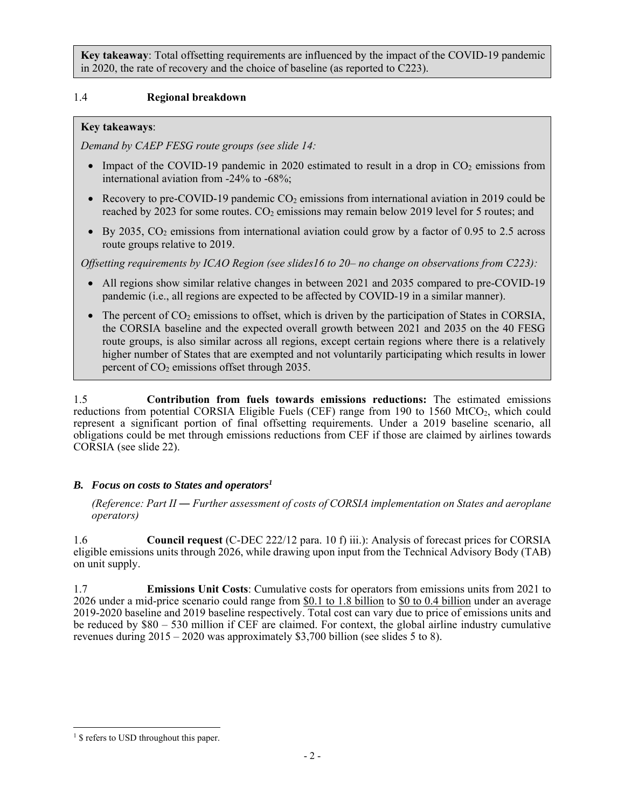**Key takeaway**: Total offsetting requirements are influenced by the impact of the COVID-19 pandemic in 2020, the rate of recovery and the choice of baseline (as reported to C223).

## 1.4 **Regional breakdown**

## **Key takeaways**:

*Demand by CAEP FESG route groups (see slide 14:* 

- Impact of the COVID-19 pandemic in 2020 estimated to result in a drop in  $CO<sub>2</sub>$  emissions from international aviation from -24% to -68%;
- Recovery to pre-COVID-19 pandemic  $CO<sub>2</sub>$  emissions from international aviation in 2019 could be reached by 2023 for some routes.  $CO<sub>2</sub>$  emissions may remain below 2019 level for 5 routes; and
- $\bullet$  By 2035, CO<sub>2</sub> emissions from international aviation could grow by a factor of 0.95 to 2.5 across route groups relative to 2019.

*Offsetting requirements by ICAO Region (see slides16 to 20– no change on observations from C223):* 

- All regions show similar relative changes in between 2021 and 2035 compared to pre-COVID-19 pandemic (i.e., all regions are expected to be affected by COVID-19 in a similar manner).
- $\bullet$  The percent of CO<sub>2</sub> emissions to offset, which is driven by the participation of States in CORSIA, the CORSIA baseline and the expected overall growth between 2021 and 2035 on the 40 FESG route groups, is also similar across all regions, except certain regions where there is a relatively higher number of States that are exempted and not voluntarily participating which results in lower percent of  $CO<sub>2</sub>$  emissions offset through 2035.

1.5 **Contribution from fuels towards emissions reductions:** The estimated emissions reductions from potential CORSIA Eligible Fuels (CEF) range from 190 to 1560 MtCO<sub>2</sub>, which could represent a significant portion of final offsetting requirements. Under a 2019 baseline scenario, all obligations could be met through emissions reductions from CEF if those are claimed by airlines towards CORSIA (see slide 22).

## *B. Focus on costs to States and operators1*

*(Reference: Part II ― Further assessment of costs of CORSIA implementation on States and aeroplane operators)* 

1.6 **Council request** (C-DEC 222/12 para. 10 f) iii.): Analysis of forecast prices for CORSIA eligible emissions units through 2026, while drawing upon input from the Technical Advisory Body (TAB) on unit supply.

1.7 **Emissions Unit Costs**: Cumulative costs for operators from emissions units from 2021 to 2026 under a mid-price scenario could range from \$0.1 to 1.8 billion to \$0 to 0.4 billion under an average 2019-2020 baseline and 2019 baseline respectively. Total cost can vary due to price of emissions units and be reduced by \$80 – 530 million if CEF are claimed. For context, the global airline industry cumulative revenues during  $2015 - 2020$  was approximately \$3,700 billion (see slides 5 to 8).

l <sup>1</sup> \$ refers to USD throughout this paper.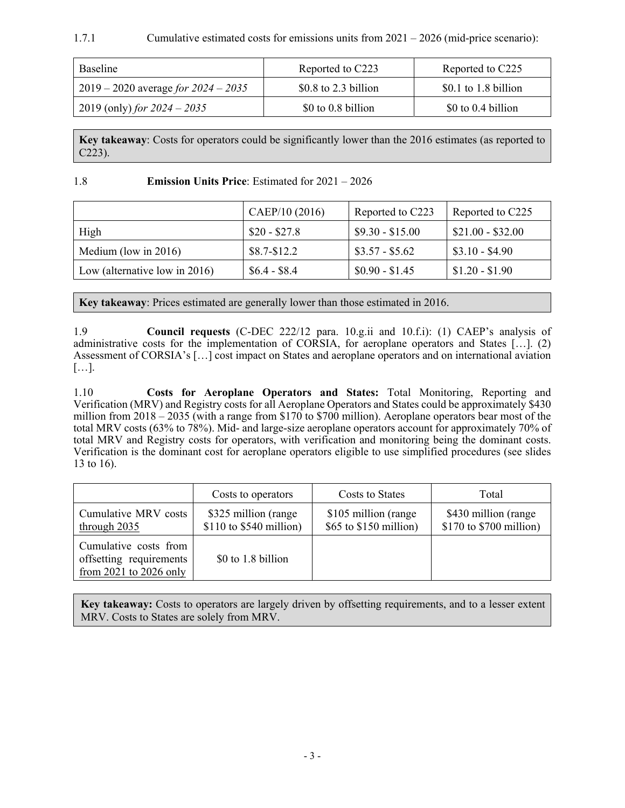### 1.7.1 Cumulative estimated costs for emissions units from 2021 – 2026 (mid-price scenario):

| <b>Baseline</b>                       | Reported to C223      | Reported to C225     |
|---------------------------------------|-----------------------|----------------------|
| 2019 – 2020 average for $2024 - 2035$ | $$0.8$ to 2.3 billion | \$0.1 to 1.8 billion |
| 2019 (only) for $2024 - 2035$         | \$0 to 0.8 billion    | \$0 to 0.4 billion   |

**Key takeaway**: Costs for operators could be significantly lower than the 2016 estimates (as reported to C223).

#### 1.8 **Emission Units Price**: Estimated for 2021 – 2026

|                                  | CAEP/10 (2016) | Reported to C223 | Reported to C225  |
|----------------------------------|----------------|------------------|-------------------|
| High                             | $$20 - $27.8$  | $$9.30 - $15.00$ | $$21.00 - $32.00$ |
| Medium (low in $2016$ )          | $$8.7 - $12.2$ | $$3.57 - $5.62$  | $$3.10 - $4.90$   |
| Low (alternative low in $2016$ ) | $$6.4 - $8.4$  | $$0.90 - $1.45$  | $$1.20 - $1.90$   |

**Key takeaway**: Prices estimated are generally lower than those estimated in 2016.

1.9 **Council requests** (C-DEC 222/12 para. 10.g.ii and 10.f.i): (1) CAEP's analysis of administrative costs for the implementation of CORSIA, for aeroplane operators and States […]. (2) Assessment of CORSIA's […] cost impact on States and aeroplane operators and on international aviation […].

1.10 **Costs for Aeroplane Operators and States:** Total Monitoring, Reporting and Verification (MRV) and Registry costs for all Aeroplane Operators and States could be approximately \$430 million from  $2018 - 2035$  (with a range from \$170 to \$700 million). Aeroplane operators bear most of the total MRV costs (63% to 78%). Mid- and large-size aeroplane operators account for approximately 70% of total MRV and Registry costs for operators, with verification and monitoring being the dominant costs. Verification is the dominant cost for aeroplane operators eligible to use simplified procedures (see slides 13 to 16).

|                                                                            | Costs to operators                                 | Costs to States                                  | Total                                            |
|----------------------------------------------------------------------------|----------------------------------------------------|--------------------------------------------------|--------------------------------------------------|
| Cumulative MRV costs<br>through 2035                                       | \$325 million (range)<br>$$110$ to $$540$ million) | \$105 million (range<br>$$65$ to $$150$ million) | \$430 million (range)<br>\$170 to \$700 million) |
| Cumulative costs from<br>offsetting requirements<br>from 2021 to 2026 only | \$0 to 1.8 billion                                 |                                                  |                                                  |

**Key takeaway:** Costs to operators are largely driven by offsetting requirements, and to a lesser extent MRV. Costs to States are solely from MRV.